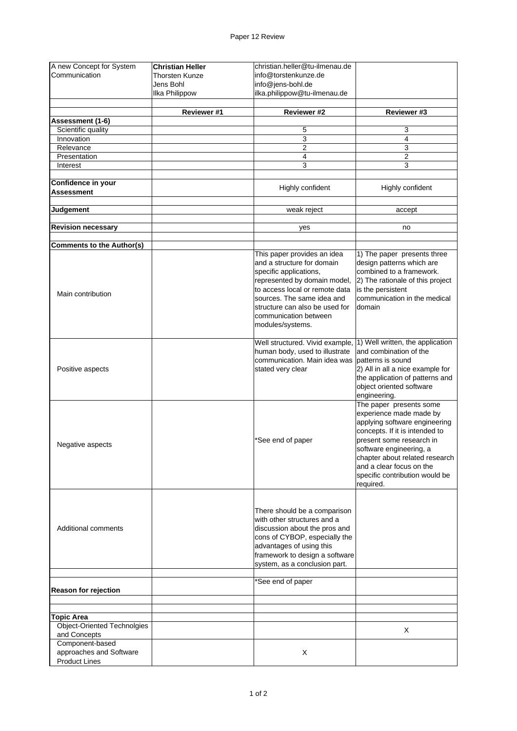| A new Concept for System                | <b>Christian Heller</b> | christian.heller@tu-ilmenau.de  |                                                            |
|-----------------------------------------|-------------------------|---------------------------------|------------------------------------------------------------|
| Communication                           | Thorsten Kunze          | info@torstenkunze.de            |                                                            |
|                                         | Jens Bohl               | info@jens-bohl.de               |                                                            |
|                                         |                         | ilka.philippow@tu-ilmenau.de    |                                                            |
|                                         | Ilka Philippow          |                                 |                                                            |
|                                         | Reviewer #1             | Reviewer #2                     | Reviewer #3                                                |
| Assessment (1-6)                        |                         |                                 |                                                            |
| Scientific quality                      |                         | 5                               | 3                                                          |
| Innovation                              |                         | 3                               | $\overline{4}$                                             |
| Relevance                               |                         | $\overline{c}$                  | 3                                                          |
| Presentation                            |                         | $\overline{\mathcal{A}}$        | $\mathbf 2$                                                |
| Interest                                |                         | 3                               | 3                                                          |
|                                         |                         |                                 |                                                            |
| Confidence in your<br><b>Assessment</b> |                         | Highly confident                | Highly confident                                           |
| Judgement                               |                         | weak reject                     | accept                                                     |
| <b>Revision necessary</b>               |                         | yes                             | no                                                         |
| <b>Comments to the Author(s)</b>        |                         |                                 |                                                            |
|                                         |                         | This paper provides an idea     | 1) The paper presents three                                |
|                                         |                         | and a structure for domain      | design patterns which are                                  |
|                                         |                         | specific applications,          | combined to a framework.                                   |
|                                         |                         | represented by domain model,    | 2) The rationale of this project                           |
|                                         |                         | to access local or remote data  | is the persistent                                          |
| Main contribution                       |                         | sources. The same idea and      | communication in the medical                               |
|                                         |                         |                                 |                                                            |
|                                         |                         | structure can also be used for  | domain                                                     |
|                                         |                         | communication between           |                                                            |
|                                         |                         | modules/systems.                |                                                            |
|                                         |                         |                                 |                                                            |
|                                         |                         | Well structured. Vivid example, | 1) Well written, the application                           |
|                                         |                         | human body, used to illustrate  | and combination of the                                     |
|                                         |                         | communication. Main idea was    | patterns is sound                                          |
| Positive aspects                        |                         | stated very clear               | 2) All in all a nice example for                           |
|                                         |                         |                                 | the application of patterns and                            |
|                                         |                         |                                 | object oriented software                                   |
|                                         |                         |                                 | engineering.                                               |
|                                         |                         |                                 | The paper presents some                                    |
|                                         |                         |                                 | experience made made by                                    |
|                                         |                         |                                 | applying software engineering                              |
|                                         |                         |                                 | concepts. If it is intended to                             |
|                                         |                         | *See end of paper               | present some research in                                   |
| Negative aspects                        |                         |                                 | software engineering, a                                    |
|                                         |                         |                                 |                                                            |
|                                         |                         |                                 | chapter about related research<br>and a clear focus on the |
|                                         |                         |                                 |                                                            |
|                                         |                         |                                 | specific contribution would be                             |
|                                         |                         |                                 | required.                                                  |
|                                         |                         |                                 |                                                            |
|                                         |                         |                                 |                                                            |
|                                         |                         | There should be a comparison    |                                                            |
|                                         |                         | with other structures and a     |                                                            |
| Additional comments                     |                         | discussion about the pros and   |                                                            |
|                                         |                         | cons of CYBOP, especially the   |                                                            |
|                                         |                         | advantages of using this        |                                                            |
|                                         |                         | framework to design a software  |                                                            |
|                                         |                         | system, as a conclusion part.   |                                                            |
|                                         |                         |                                 |                                                            |
|                                         |                         | *See end of paper               |                                                            |
| <b>Reason for rejection</b>             |                         |                                 |                                                            |
|                                         |                         |                                 |                                                            |
| <b>Topic Area</b>                       |                         |                                 |                                                            |
| <b>Object-Oriented Technolgies</b>      |                         |                                 | Χ                                                          |
| and Concepts                            |                         |                                 |                                                            |
| Component-based                         |                         |                                 |                                                            |
| approaches and Software                 |                         | X                               |                                                            |
| <b>Product Lines</b>                    |                         |                                 |                                                            |